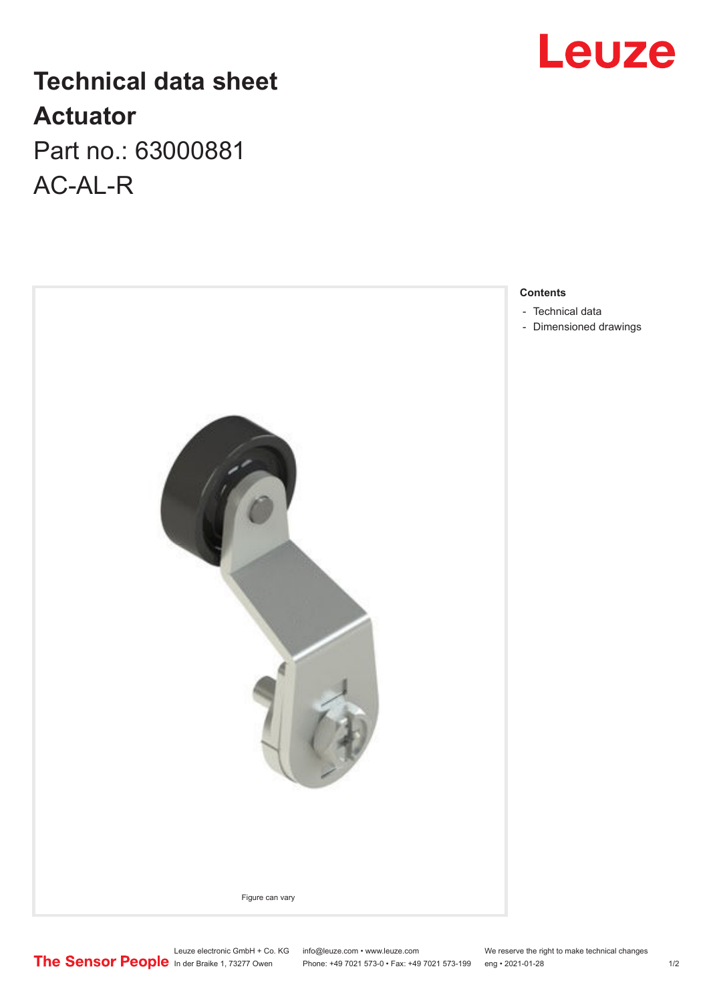## **Technical data sheet Actuator** Part no.: 63000881

AC-AL-R





**Contents**

- [Technical data](#page-1-0)
- [Dimensioned drawings](#page-1-0)

Leuze electronic GmbH + Co. KG info@leuze.com • www.leuze.com We reserve the right to make technical changes In der Braike 1, 73277 Owen Phone: +49 7021 573-0 • Fax: +49 7021 573-199 eng • 2021-01-28 1/2